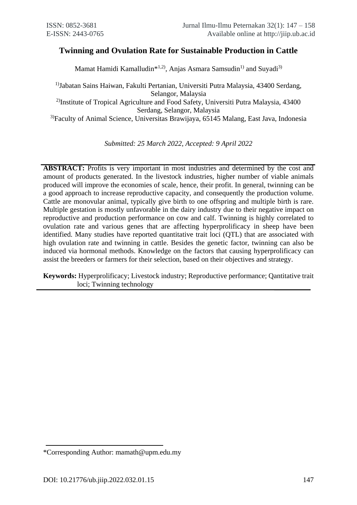# **Twinning and Ovulation Rate for Sustainable Production in Cattle**

Mamat Hamidi Kamalludin\*<sup>1,2)</sup>, Anjas Asmara Samsudin<sup>1)</sup> and Suyadi<sup>3)</sup>

1)Jabatan Sains Haiwan, Fakulti Pertanian, Universiti Putra Malaysia, 43400 Serdang, Selangor, Malaysia <sup>2)</sup>Institute of Tropical Agriculture and Food Safety, Universiti Putra Malaysia, 43400 Serdang, Selangor, Malaysia

3)Faculty of Animal Science, Universitas Brawijaya, 65145 Malang, East Java, Indonesia

*Submitted: 25 March 2022, Accepted: 9 April 2022*

**ABSTRACT:** Profits is very important in most industries and determined by the cost and amount of products generated. In the livestock industries, higher number of viable animals produced will improve the economies of scale, hence, their profit. In general, twinning can be a good approach to increase reproductive capacity, and consequently the production volume. Cattle are monovular animal, typically give birth to one offspring and multiple birth is rare. Multiple gestation is mostly unfavorable in the dairy industry due to their negative impact on reproductive and production performance on cow and calf. Twinning is highly correlated to ovulation rate and various genes that are affecting hyperprolificacy in sheep have been identified. Many studies have reported quantitative trait loci (QTL) that are associated with high ovulation rate and twinning in cattle. Besides the genetic factor, twinning can also be induced via hormonal methods. Knowledge on the factors that causing hyperprolificacy can assist the breeders or farmers for their selection, based on their objectives and strategy.

**Keywords:** Hyperprolificacy; Livestock industry; Reproductive performance; Qantitative trait loci; Twinning technology

<sup>\*</sup>Corresponding Author: mamath@upm.edu.my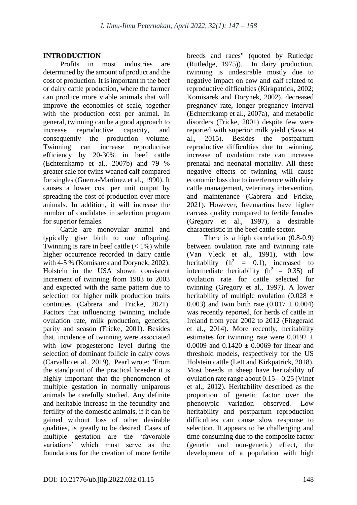# **INTRODUCTION**

Profits in most industries are determined by the amount of product and the cost of production. It is important in the beef or dairy cattle production, where the farmer can produce more viable animals that will improve the economies of scale, together with the production cost per animal. In general, twinning can be a good approach to increase reproductive capacity, and consequently the production volume. Twinning can increase reproductive efficiency by 20-30% in beef cattle (Echternkamp et al., 2007b) and 79 % greater sale for twins weaned calf compared for singles (Guerra-Martinez et al., 1990). It causes a lower cost per unit output by spreading the cost of production over more animals. In addition, it will increase the number of candidates in selection program for superior females.

Cattle are monovular animal and typically give birth to one offspring. Twinning is rare in beef cattle  $(< 1\%)$  while higher occurrence recorded in dairy cattle with 4-5 % (Komisarek and Dorynek, 2002). Holstein in the USA shown consistent increment of twinning from 1983 to 2003 and expected with the same pattern due to selection for higher milk production traits continues (Cabrera and Fricke, 2021). Factors that influencing twinning include ovulation rate, milk production, genetics, parity and season (Fricke, 2001). Besides that, incidence of twinning were associated with low progesterone level during the selection of dominant follicle in dairy cows (Carvalho et al., 2019). Pearl wrote: "From the standpoint of the practical breeder it is highly important that the phenomenon of multiple gestation in normally uniparous animals be carefully studied. Any definite and heritable increase in the fecundity and fertility of the domestic animals, if it can be gained without loss of other desirable qualities, is greatly to be desired. Cases of multiple gestation are the 'favorable<br>variations' which must serve as the which must serve as the foundations for the creation of more fertile

breeds and races" (quoted by Rutledge (Rutledge, 1975)). In dairy production, twinning is undesirable mostly due to negative impact on cow and calf related to reproductive difficulties (Kirkpatrick, 2002; Komisarek and Dorynek, 2002), decreased pregnancy rate, longer pregnancy interval (Echternkamp et al., 2007a), and metabolic disorders (Fricke, 2001) despite few were reported with superior milk yield (Sawa et al., 2015). Besides the postpartum reproductive difficulties due to twinning, increase of ovulation rate can increase prenatal and neonatal mortality. All these negative effects of twinning will cause economic loss due to interference with dairy cattle management, veterinary intervention, and maintenance (Cabrera and Fricke, 2021). However, freemartins have higher carcass quality compared to fertile females (Gregory et al., 1997), a desirable characteristic in the beef cattle sector.

There is a high correlation (0.8-0.9) between ovulation rate and twinning rate (Van Vleck et al., 1991), with low heritability  $(h^2 = 0.1)$ , increased to intermediate heritability ( $h^2 = 0.35$ ) of ovulation rate for cattle selected for twinning (Gregory et al., 1997). A lower heritability of multiple ovulation (0.028  $\pm$ 0.003) and twin birth rate  $(0.017 \pm 0.004)$ was recently reported, for herds of cattle in Ireland from year 2002 to 2012 (Fitzgerald et al., 2014). More recently, heritability estimates for twinning rate were  $0.0192 \pm$ 0.0009 and  $0.1420 + 0.0069$  for linear and threshold models, respectively for the US Holstein cattle (Lett and Kirkpatrick, 2018). Most breeds in sheep have heritability of ovulation rate range about  $0.15 - 0.25$  (Vinet et al., 2012). Heritability described as the proportion of genetic factor over the phenotypic variation observed. Low heritability and postpartum reproduction difficulties can cause slow response to selection. It appears to be challenging and time consuming due to the composite factor (genetic and non-genetic) effect, the development of a population with high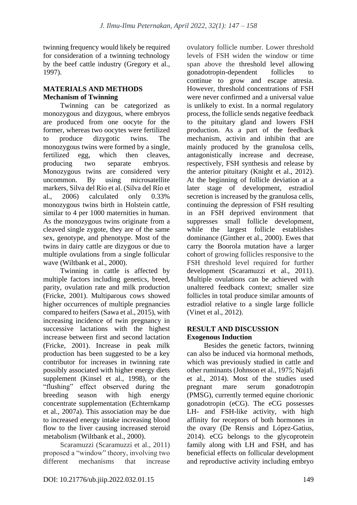twinning frequency would likely be required for consideration of a twinning technology by the beef cattle industry (Gregory et al., 1997).

## **MATERIALS AND METHODS Mechanism of Twinning**

Twinning can be categorized as monozygous and dizygous, where embryos are produced from one oocyte for the former, whereas two oocytes were fertilized to produce dizygotic twins. The monozygous twins were formed by a single, fertilized egg, which then cleaves, producing two separate embryos. Monozygous twins are considered very uncommon. By using microsatellite markers, Silva del Río et al. (Silva del Río et al., 2006) calculated only 0.33% monozygous twins birth in Holstein cattle, similar to 4 per 1000 maternities in human. As the monozygous twins originate from a cleaved single zygote, they are of the same sex, genotype, and phenotype. Most of the twins in dairy cattle are dizygous or due to multiple ovulations from a single follicular wave (Wiltbank et al., 2000).

Twinning in cattle is affected by multiple factors including genetics, breed, parity, ovulation rate and milk production (Fricke, 2001). Multiparous cows showed higher occurrences of multiple pregnancies compared to heifers (Sawa et al., 2015), with increasing incidence of twin pregnancy in successive lactations with the highest increase between first and second lactation (Fricke, 2001). Increase in peak milk production has been suggested to be a key contributor for increases in twinning rate possibly associated with higher energy diets supplement (Kinsel et al., 1998), or the "flushing" effect observed during the breeding season with high energy concentrate supplementation (Echternkamp et al., 2007a). This association may be due to increased energy intake increasing blood flow to the liver causing increased steroid metabolism (Wiltbank et al., 2000).

Scaramuzzi (Scaramuzzi et al., 2011) proposed a "window" theory, involving two different mechanisms that increase ovulatory follicle number. Lower threshold levels of FSH widen the window or time span above the threshold level allowing gonadotropin-dependent follicles to continue to grow and escape atresia. However, threshold concentrations of FSH were never confirmed and a universal value is unlikely to exist. In a normal regulatory process, the follicle sends negative feedback to the pituitary gland and lowers FSH production. As a part of the feedback mechanism, activin and inhibin that are mainly produced by the granulosa cells, antagonistically increase and decrease, respectively, FSH synthesis and release by the anterior pituitary (Knight et al., 2012). At the beginning of follicle deviation at a later stage of development, estradiol secretion is increased by the granulosa cells, continuing the depression of FSH resulting in an FSH deprived environment that suppresses small follicle development, while the largest follicle establishes dominance (Ginther et al., 2000). Ewes that carry the Boorola mutation have a larger cohort of growing follicles responsive to the FSH threshold level required for further development (Scaramuzzi et al., 2011). Multiple ovulations can be achieved with unaltered feedback context; smaller size follicles in total produce similar amounts of estradiol relative to a single large follicle (Vinet et al., 2012).

## **RESULT AND DISCUSSION Exogenous Induction**

Besides the genetic factors, twinning can also be induced via hormonal methods, which was previously studied in cattle and other ruminants (Johnson et al., 1975; Najafi et al., 2014). Most of the studies used pregnant mare serum gonadotropin (PMSG), currently termed equine chorionic gonadotropin (eCG). The eCG possesses LH- and FSH-like activity, with high affinity for receptors of both hormones in the ovary (De Rensis and López-Gatius, 2014). eCG belongs to the glycoprotein family along with LH and FSH, and has beneficial effects on follicular development and reproductive activity including embryo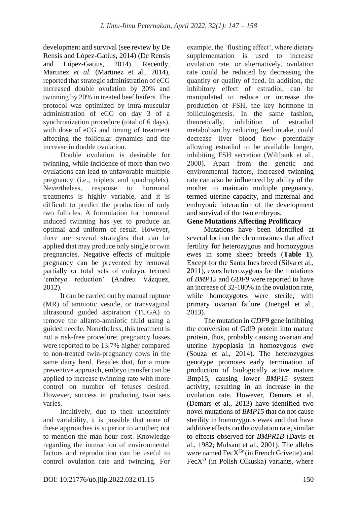development and survival (see review by De Rensis and López-Gatius, 2014) (De Rensis and López-Gatius, 2014). Recently, Martinez *et al.* (Martinez et al., 2014), reported that strategic administration of eCG increased double ovulation by 30% and twinning by 20% in treated beef heifers. The protocol was optimized by intra-muscular administration of eCG on day 3 of a synchronization procedure (total of 6 days), with dose of eCG and timing of treatment affecting the follicular dynamics and the increase in double ovulation.

Double ovulation is desirable for twinning, while incidence of more than two ovulations can lead to unfavorable multiple pregnancy (i.e., triplets and quadruplets). Nevertheless, response to hormonal treatments is highly variable, and it is difficult to predict the production of only two follicles. A formulation for hormonal induced twinning has yet to produce an optimal and uniform of result. However, there are several strategies that can be applied that may produce only single or twin pregnancies. Negative effects of multiple pregnancy can be prevented by removal partially or total sets of embryo, termed 'embryo reduction' (Andreu Vázquez, 2012).

It can be carried out by manual rupture (MR) of amniotic vesicle, or transvaginal ultrasound guided aspiration (TUGA) to remove the allanto-amniotic fluid using a guided needle. Nonetheless, this treatment is not a risk-free procedure; pregnancy losses were reported to be 13.7% higher compared to non-treated twin-pregnancy cows in the same dairy herd. Besides that, for a more preventive approach, embryo transfer can be applied to increase twinning rate with more control on number of fetuses desired. However, success in producing twin sets varies.

Intuitively, due to their uncertainty and variability, it is possible that none of these approaches is superior to another; not to mention the man-hour cost. Knowledge regarding the interaction of environmental factors and reproduction can be useful to control ovulation rate and twinning. For example, the 'flushing effect', where dietary supplementation is used to increase ovulation rate, or alternatively, ovulation rate could be reduced by decreasing the quantity or quality of feed. In addition, the inhibitory effect of estradiol, can be manipulated to reduce or increase the production of FSH, the key hormone in folliculogenesis. In the same fashion, theoretically, inhibition of estradiol metabolism by reducing feed intake, could decrease liver blood flow potentially allowing estradiol to be available longer, inhibiting FSH secretion (Wiltbank et al., 2000). Apart from the genetic and environmental factors, increased twinning rate can also be influenced by ability of the mother to maintain multiple pregnancy, termed uterine capacity, and maternal and embryonic interaction of the development and survival of the two embryos.

# **Gene Mutations Affecting Prolificacy**

Mutations have been identified at several loci on the chromosomes that affect fertility for heterozygous and homozygous ewes in some sheep breeds (**Table 1**). Except for the Santa Ines breed (Silva et al., 2011), ewes heterozygous for the mutations of *BMP15* and *GDF9* were reported to have an increase of 32-100% in the ovulation rate, while homozygotes were sterile, with primary ovarian failure (Juengel et al., 2013).

The mutation in *GDF9* gene inhibiting the conversion of Gdf9 protein into mature protein, thus, probably causing ovarian and uterine hypoplasia in homozygous ewe (Souza et al., 2014). The heterozygous genotype promotes early termination of production of biologically active mature Bmp15, causing lower *BMP15* system activity, resulting in an increase in the ovulation rate. However, Demars et al*.*  (Demars et al., 2013) have identified two novel mutations of *BMP15* that do not cause sterility in homozygous ewes and that have additive effects on the ovulation rate, similar to effects observed for *BMPR1B* (Davis et al., 1982; Mulsant et al., 2001). The alleles were named  $\text{FacX}^{\text{Gr}}$  (in French Grivette) and  $FecX<sup>O</sup>$  (in Polish Olkuska) variants, where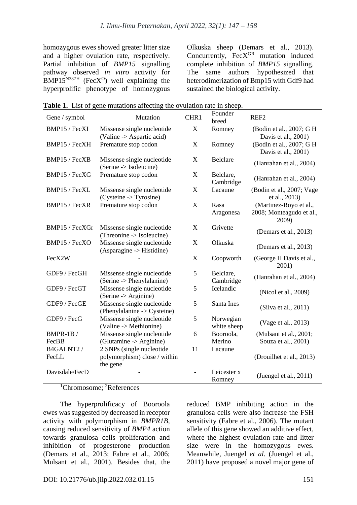homozygous ewes showed greater litter size and a higher ovulation rate, respectively. Partial inhibition of *BMP15* signalling pathway observed *in vitro* activity for  $BMP15^{N337H}$  (FecX<sup>O</sup>) well explaining the hyperprolific phenotype of homozygous

Olkuska sheep (Demars et al., 2013). Concurrently,  $FecX<sup>GR</sup>$  mutation induced complete inhibition of *BMP15* signalling. The same authors hypothesized that heterodimerization of Bmp15 with Gdf9 had sustained the biological activity.

| Table 1. List of gene mutations affecting the ovulation rate in sheep. |  |
|------------------------------------------------------------------------|--|
|------------------------------------------------------------------------|--|

| Gene / symbol   | Mutation                                                  | CHR1                      | Founder<br>breed         | REF <sub>2</sub>                                            |
|-----------------|-----------------------------------------------------------|---------------------------|--------------------------|-------------------------------------------------------------|
| BMP15 / FecXI   | Missense single nucleotide                                | X                         | Romney                   | (Bodin et al., 2007; G H                                    |
|                 | (Valine -> Aspartic acid)                                 |                           |                          | Davis et al., 2001)                                         |
| BMP15 / FecXH   | Premature stop codon                                      | X                         | Romney                   | (Bodin et al., 2007; G H<br>Davis et al., 2001)             |
| BMP15 / FecXB   | Missense single nucleotide<br>(Serine -> Isoleucine)      | X                         | <b>Belclare</b>          | (Hanrahan et al., 2004)                                     |
| BMP15 / FecXG   | Premature stop codon                                      | X                         | Belclare,<br>Cambridge   | (Hanrahan et al., 2004)                                     |
| BMP15 / FecXL   | Missense single nucleotide<br>(Cysteine -> Tyrosine)      | $\boldsymbol{\mathrm{X}}$ | Lacaune                  | (Bodin et al., 2007; Vage<br>et al., 2013)                  |
| BMP15 / FecXR   | Premature stop codon                                      | X                         | Rasa<br>Aragonesa        | (Martinez-Royo et al.,<br>2008; Monteagudo et al.,<br>2009) |
| BMP15 / FecXGr  | Missense single nucleotide<br>(Threonine -> Isoleucine)   | $\mathbf X$               | Grivette                 | (Demars et al., 2013)                                       |
| BMP15 / FecXO   | Missense single nucleotide<br>(Asparagine -> Histidine)   | X                         | Olkuska                  | (Demars et al., 2013)                                       |
| FecX2W          |                                                           | X                         | Coopworth                | (George H Davis et al.,<br>2001)                            |
| GDF9 / FecGH    | Missense single nucleotide<br>(Serine -> Phenylalanine)   | 5                         | Belclare,<br>Cambridge   | (Hanrahan et al., 2004)                                     |
| GDF9 / FecGT    | Missense single nucleotide<br>(Serine > Arginine)         | 5                         | Icelandic                | (Nicol et al., 2009)                                        |
| GDF9 / FecGE    | Missense single nucleotide<br>(Phenylalanine -> Cysteine) | 5                         | Santa Ines               | (Silva et al., 2011)                                        |
| GDF9 / FecG     | Missense single nucleotide<br>(Valine -> Methionine)      | 5                         | Norwegian<br>white sheep | (Vage et al., 2013)                                         |
| <b>BMPR-1B/</b> | Missense single nucleotide                                | 6                         | Booroola,                | (Mulsant et al., 2001;                                      |
| FecBB           | (Glutamine -> Arginine)                                   |                           | Merino                   | Souza et al., 2001)                                         |
| B4GALNT2 /      | 2 SNPs (single nucleotide                                 | 11                        | Lacaune                  |                                                             |
| FecLL           | polymorphism) close / within                              |                           |                          | (Drouilhet et al., 2013)                                    |
|                 | the gene                                                  |                           |                          |                                                             |
| Davisdale/FecD  |                                                           |                           | Leicester x<br>Romney    | (Juengel et al., 2011)                                      |

<sup>1</sup>Chromosome: <sup>2</sup>References

The hyperprolificacy of Booroola ewes was suggested by decreased in receptor activity with polymorphism in *BMPR1B,*  causing reduced sensitivity of *BMP4* action towards granulosa cells proliferation and inhibition of progesterone production (Demars et al., 2013; Fabre et al., 2006; Mulsant et al., 2001). Besides that, the

reduced BMP inhibiting action in the granulosa cells were also increase the FSH sensitivity (Fabre et al., 2006). The mutant allele of this gene showed an additive effect, where the highest ovulation rate and litter size were in the homozygous ewes. Meanwhile, Juengel *et al*. (Juengel et al., 2011) have proposed a novel major gene of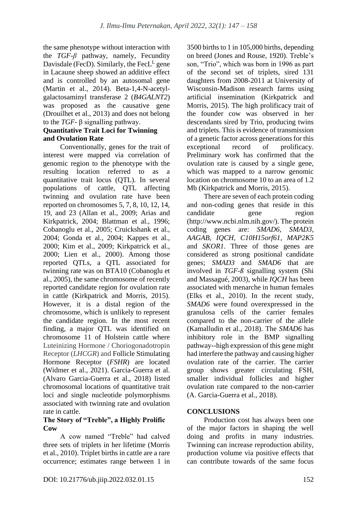the same phenotype without interaction with the *TGF-β* pathway, namely, Fecundity Davisdale (FecD). Similarly, the Fec $L^L$  gene in Lacaune sheep showed an additive effect and is controlled by an autosomal gene (Martin et al., 2014). Beta-1,4-N-acetylgalactosaminyl transferase 2 (*B4GALNT2*) was proposed as the causative gene (Drouilhet et al., 2013) and does not belong to the *TGF*- β signalling pathway.

### **Quantitative Trait Loci for Twinning and Ovulation Rate**

Conventionally, genes for the trait of interest were mapped via correlation of genomic region to the phenotype with the resulting location referred to as a quantitative trait locus (QTL). In several populations of cattle, QTL affecting twinning and ovulation rate have been reported on chromosomes 5, 7, 8, 10, 12, 14, 19, and 23 (Allan et al., 2009; Arias and Kirkpatrick, 2004; Blattman et al., 1996; Cobanoglu et al., 2005; Cruickshank et al., 2004; Gonda et al., 2004; Kappes et al., 2000; Kim et al., 2009; Kirkpatrick et al., 2000; Lien et al., 2000). Among those reported QTLs, a QTL associated for twinning rate was on BTA10 (Cobanoglu et al., 2005), the same chromosome of recently reported candidate region for ovulation rate in cattle (Kirkpatrick and Morris, 2015). However, it is a distal region of the chromosome, which is unlikely to represent the candidate region. In the most recent finding, a major QTL was identified on chromosome 11 of Holstein cattle where Luteinizing Hormone / Choriogonadotropin Receptor (*LHCGR*) and Follicle Stimulating Hormone Receptor (*FSHR*) are located (Widmer et al., 2021). Garcia-Guerra et al. (Alvaro Garcia-Guerra et al., 2018) listed chromosomal locations of quantitative trait loci and single nucleotide polymorphisms associated with twinning rate and ovulation rate in cattle.

#### **The Story of "Treble", a Highly Prolific Cow**

A cow named "Treble" had calved three sets of triplets in her lifetime (Morris et al., 2010). Triplet births in cattle are a rare occurrence; estimates range between 1 in 3500 births to 1 in 105,000 births, depending on breed (Jones and Rouse, 1920). Treble's son, "Trio", which was born in 1996 as part of the second set of triplets, sired 131 daughters from 2008-2011 at University of Wisconsin-Madison research farms using artificial insemination (Kirkpatrick and Morris, 2015). The high prolificacy trait of the founder cow was observed in her descendants sired by Trio, producing twins and triplets. This is evidence of transmission of a genetic factor across generations for this exceptional record of prolificacy. Preliminary work has confirmed that the ovulation rate is caused by a single gene, which was mapped to a narrow genomic location on chromosome 10 to an area of 1.2 Mb (Kirkpatrick and Morris, 2015).

There are seven of each protein coding and non-coding genes that reside in this candidate gene region (http://www.ncbi.nlm.nih.gov/). The protein coding genes are: *SMAD6, SMAD3, AAGAB, IQCH, C10H15orf61, MAP2K5*  and *SKOR1*. Three of those genes are considered as strong positional candidate genes; *SMAD3* and *SMAD6* that are involved in *TGF-ß* signalling system (Shi and Massagué, 2003), while *IQCH* has been associated with menarche in human females (Elks et al., 2010). In the recent study, *SMAD6* were found overexpressed in the granulosa cells of the carrier females compared to the non-carrier of the allele (Kamalludin et al., 2018). The *SMAD6* has inhibitory role in the BMP signalling pathway--high expression of this gene might had interfere the pathway and causing higher ovulation rate of the carrier. The carrier group shows greater circulating FSH, smaller individual follicles and higher ovulation rate compared to the non-carrier (A. Garcia-Guerra et al., 2018).

# **CONCLUSIONS**

Production cost has always been one of the major factors in shaping the well doing and profits in many industries. Twinning can increase reproduction ability, production volume via positive effects that can contribute towards of the same focus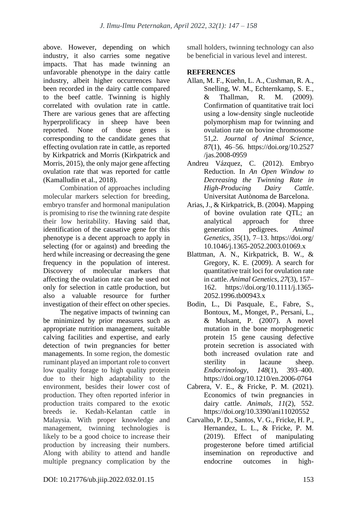above. However, depending on which industry, it also carries some negative impacts. That has made twinning an unfavorable phenotype in the dairy cattle industry, albeit higher occurrences have been recorded in the dairy cattle compared to the beef cattle. Twinning is highly correlated with ovulation rate in cattle. There are various genes that are affecting hyperprolificacy in sheep have been reported. None of those genes is corresponding to the candidate genes that effecting ovulation rate in cattle, as reported by Kirkpatrick and Morris (Kirkpatrick and Morris, 2015), the only major gene affecting ovulation rate that was reported for cattle (Kamalludin et al., 2018).

Combination of approaches including molecular markers selection for breeding, embryo transfer and hormonal manipulation is promising to rise the twinning rate despite their low heritability. Having said that, identification of the causative gene for this phenotype is a decent approach to apply in selecting (for or against) and breeding the herd while increasing or decreasing the gene frequency in the population of interest. Discovery of molecular markers that affecting the ovulation rate can be used not only for selection in cattle production, but also a valuable resource for further investigation of their effect on other species.

The negative impacts of twinning can be minimized by prior measures such as appropriate nutrition management, suitable calving facilities and expertise, and early detection of twin pregnancies for better managements. In some region, the domestic ruminant played an important role to convert low quality forage to high quality protein due to their high adaptability to the environment, besides their lower cost of production. They often reported inferior in production traits compared to the exotic breeds ie. Kedah-Kelantan cattle in Malaysia. With proper knowledge and management, twinning technologies is likely to be a good choice to increase their production by increasing their numbers. Along with ability to attend and handle multiple pregnancy complication by the

small holders, twinning technology can also be beneficial in various level and interest.

# **REFERENCES**

- Allan, M. F., Kuehn, L. A., Cushman, R. A., Snelling, W. M., Echternkamp, S. E., & Thallman, R. M. (2009). Confirmation of quantitative trait loci using a low-density single nucleotide polymorphism map for twinning and ovulation rate on bovine chromosome 51,2. *Journal of Animal Science*, *87*(1), 46–56. https://doi.org/10.2527 /jas.2008-0959
- Andreu Vázquez, C. (2012). Embryo Reduction. In *An Open Window to Decreasing the Twinning Rate in High-Producing Dairy Cattle*. Universitat Autònoma de Barcelona.
- Arias, J., & Kirkpatrick, B. (2004). Mapping of bovine ovulation rate QTL; an analytical approach for three generation pedigrees. *Animal Genetics*, *35*(1), 7–13. https://doi.org/ 10.1046/j.1365-2052.2003.01069.x
- Blattman, A. N., Kirkpatrick, B. W., & Gregory, K. E. (2009). A search for quantitative trait loci for ovulation rate in cattle. *Animal Genetics*, *27*(3), 157– 162. https://doi.org/10.1111/j.1365- 2052.1996.tb00943.x
- Bodin, L., Di Pasquale, E., Fabre, S., Bontoux, M., Monget, P., Persani, L., & Mulsant, P. (2007). A novel mutation in the bone morphogenetic protein 15 gene causing defective protein secretion is associated with both increased ovulation rate and sterility in lacaune sheep. *Endocrinology*, *148*(1), 393–400. https://doi.org/10.1210/en.2006-0764
- Cabrera, V. E., & Fricke, P. M. (2021). Economics of twin pregnancies in dairy cattle. *Animals*, *11*(2), 552. https://doi.org/10.3390/ani11020552
- Carvalho, P. D., Santos, V. G., Fricke, H. P., Hernandez, L. L., & Fricke, P. M. (2019). Effect of manipulating progesterone before timed artificial insemination on reproductive and endocrine outcomes in high-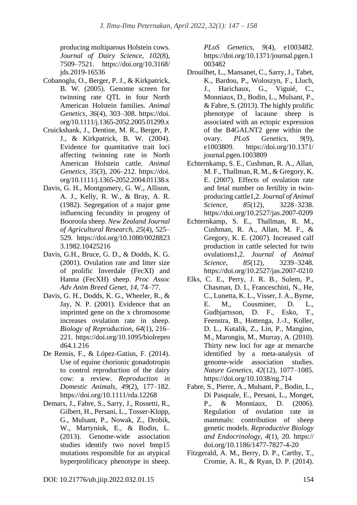producing multiparous Holstein cows. *Journal of Dairy Science*, *102*(8), 7509–7521. https://doi.org/10.3168/ jds.2019-16536

- Cobanoglu, O., Berger, P. J., & Kirkpatrick, B. W. (2005). Genome screen for twinning rate QTL in four North American Holstein families. *Animal Genetics*, *36*(4), 303–308. https://doi. org/10.1111/j.1365-2052.2005.01299.x
- Cruickshank, J., Dentine, M. R., Berger, P. J., & Kirkpatrick, B. W. (2004). Evidence for quantitative trait loci affecting twinning rate in North American Holstein cattle. *Animal Genetics*, *35*(3), 206–212. https://doi. org/10.1111/j.1365-2052.2004.01138.x
- Davis, G. H., Montgomery, G. W., Allison, A. J., Kelly, R. W., & Bray, A. R. (1982). Segregation of a major gene influencing fecundity in progeny of Booroola sheep. *New Zealand Journal of Agricultural Research*, *25*(4), 525– 529. https://doi.org/10.1080/0028823 3.1982.10425216
- Davis, G.H., Bruce, G. D., & Dodds, K. G. (2001). Ovulation rate and litter size of prolific Inverdale (FecXI) and Hanna (FecXH) sheep. *Proc Assoc Adv Anim Breed Genet*, *14*, 74–77.
- Davis, G. H., Dodds, K. G., Wheeler, R., & Jay, N. P. (2001). Evidence that an imprinted gene on the x chromosome increases ovulation rate in sheep. *Biology of Reproduction*, *64*(1), 216– 221. https://doi.org/10.1095/biolrepro d64.1.216
- De Rensis, F., & López-Gatius, F. (2014). Use of equine chorionic gonadotropin to control reproduction of the dairy cow: a review. *Reproduction in Domestic Animals*, *49*(2), 177–182. https://doi.org/10.1111/rda.12268
- Demars, J., Fabre, S., Sarry, J., Rossetti, R., Gilbert, H., Persani, L., Tosser-Klopp, G., Mulsant, P., Nowak, Z., Drobik, W., Martyniuk, E., & Bodin, L. (2013). Genome-wide association studies identify two novel bmp15 mutations responsible for an atypical hyperprolificacy phenotype in sheep.

*PLoS Genetics*, *9*(4), e1003482. https://doi.org/10.1371/journal.pgen.1 003482

- Drouilhet, L., Mansanet, C., Sarry, J., Tabet, K., Bardou, P., Woloszyn, F., Lluch, J., Harichaux, G., Viguié, C., Monniaux, D., Bodin, L., Mulsant, P., & Fabre, S. (2013). The highly prolific phenotype of lacaune sheep is associated with an ectopic expression of the B4GALNT2 gene within the ovary. *PLoS Genetics*, *9*(9), e1003809. https://doi.org/10.1371/ journal.pgen.1003809
- Echternkamp, S. E., Cushman, R. A., Allan, M. F., Thallman, R. M., & Gregory, K. E. (2007). Effects of ovulation rate and fetal number on fertility in twinproducing cattle1,2. *Journal of Animal Science*, *85*(12), 3228–3238. https://doi.org/10.2527/jas.2007-0209
- Echternkamp, S. E., Thallman, R. M., Cushman, R. A., Allan, M. F., & Gregory, K. E. (2007). Increased calf production in cattle selected for twin ovulations1,2. *Journal of Animal Science*, *85*(12), 3239–3248. https://doi.org/10.2527/jas.2007-0210
- Elks, C. E., Perry, J. R. B., Sulem, P., Chasman, D. I., Franceschini, N., He, C., Lunetta, K. L., Visser, J. A., Byrne, E. M., Cousminer, D. L., Gudbjartsson, D. F., Esko, T., Feenstra, B., Hottenga, J.-J., Koller, D. L., Kutalik, Z., Lin, P., Mangino, M., Marongiu, M., Murray, A. (2010). Thirty new loci for age at menarche identified by a meta-analysis of genome-wide association studies. *Nature Genetics*, *42*(12), 1077–1085. https://doi.org/10.1038/ng.714
- Fabre, S., Pierre, A., Mulsant, P., Bodin, L., Di Pasquale, E., Persani, L., Monget, P., & Monniaux, D. (2006). Regulation of ovulation rate in mammals: contribution of sheep genetic models. *Reproductive Biology and Endocrinology*, *4*(1), 20. https:// doi.org/10.1186/1477-7827-4-20
- Fitzgerald, A. M., Berry, D. P., Carthy, T., Cromie, A. R., & Ryan, D. P. (2014).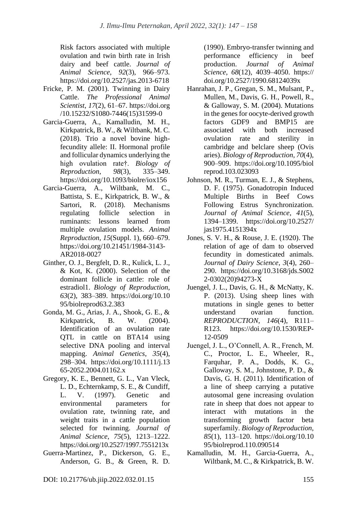Risk factors associated with multiple ovulation and twin birth rate in Irish dairy and beef cattle. *Journal of Animal Science*, *92*(3), 966–973. https://doi.org/10.2527/jas.2013-6718

- Fricke, P. M. (2001). Twinning in Dairy Cattle. *The Professional Animal Scientist*, *17*(2), 61–67. https://doi.org /10.15232/S1080-7446(15)31599-0
- Garcia-Guerra, A., Kamalludin, M. H., Kirkpatrick, B. W., & Wiltbank, M. C. (2018). Trio a novel bovine highfecundity allele: II. Hormonal profile and follicular dynamics underlying the high ovulation rate†. *Biology of Reproduction*, *98*(3), 335–349. https://doi.org/10.1093/biolre/iox156
- Garcia-Guerra, A., Wiltbank, M. C., Battista, S. E., Kirkpatrick, B. W., & Sartori, R. (2018). Mechanisms regulating follicle selection in ruminants: lessons learned from multiple ovulation models. *Animal Reproduction*, *15*(Suppl. 1), 660–679. https://doi.org/10.21451/1984-3143- AR2018-0027
- Ginther, O. J., Bergfelt, D. R., Kulick, L. J., & Kot, K. (2000). Selection of the dominant follicle in cattle: role of estradiol1. *Biology of Reproduction*, *63*(2), 383–389. https://doi.org/10.10 95/biolreprod63.2.383
- Gonda, M. G., Arias, J. A., Shook, G. E., & Kirkpatrick, B. W. (2004). Identification of an ovulation rate QTL in cattle on BTA14 using selective DNA pooling and interval mapping. *Animal Genetics*, *35*(4), 298–304. https://doi.org/10.1111/j.13 65-2052.2004.01162.x
- Gregory, K. E., Bennett, G. L., Van Vleck, L. D., Echternkamp, S. E., & Cundiff, L. V. (1997). Genetic and environmental parameters for ovulation rate, twinning rate, and weight traits in a cattle population selected for twinning. *Journal of Animal Science*, *75*(5), 1213–1222. https://doi.org/10.2527/1997.7551213x
- Guerra-Martinez, P., Dickerson, G. E., Anderson, G. B., & Green, R. D.

(1990). Embryo-transfer twinning and performance efficiency in beef production. *Journal of Animal Science*, *68*(12), 4039–4050. https:// doi.org/10.2527/1990.68124039x

- Hanrahan, J. P., Gregan, S. M., Mulsant, P., Mullen, M., Davis, G. H., Powell, R., & Galloway, S. M. (2004). Mutations in the genes for oocyte-derived growth factors GDF9 and BMP15 are associated with both increased ovulation rate and sterility in cambridge and belclare sheep (Ovis aries). *Biology of Reproduction*, *70*(4), 900–909. https://doi.org/10.1095/biol reprod.103.023093
- Johnson, M. R., Turman, E. J., & Stephens, D. F. (1975). Gonadotropin Induced Multiple Births in Beef Cows Following Estrus Synchronization. *Journal of Animal Science*, *41*(5), 1394–1399. https://doi.org/10.2527/ jas1975.4151394x
- Jones, S. V. H., & Rouse, J. E. (1920). The relation of age of dam to observed fecundity in domesticated animals. *Journal of Dairy Science*, *3*(4), 260– 290. https://doi.org/10.3168/jds.S002 2-0302(20)94273-X
- Juengel, J. L., Davis, G. H., & McNatty, K. P. (2013). Using sheep lines with mutations in single genes to better understand ovarian function. *REPRODUCTION*, *146*(4), R111– R123. https://doi.org/10.1530/REP-12-0509
- Juengel, J. L., O'Connell, A. R., French, M. C., Proctor, L. E., Wheeler, R., Farquhar, P. A., Dodds, K. G., Galloway, S. M., Johnstone, P. D., & Davis, G. H. (2011). Identification of a line of sheep carrying a putative autosomal gene increasing ovulation rate in sheep that does not appear to interact with mutations in the transforming growth factor beta superfamily. *Biology of Reproduction*, *85*(1), 113–120. https://doi.org/10.10 95/biolreprod.110.090514
- Kamalludin, M. H., Garcia-Guerra, A., Wiltbank, M. C., & Kirkpatrick, B. W.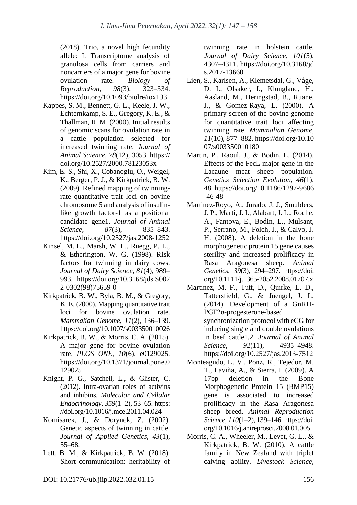(2018). Trio, a novel high fecundity allele: I. Transcriptome analysis of granulosa cells from carriers and noncarriers of a major gene for bovine ovulation rate. *Biology of Reproduction*, *98*(3), 323–334. https://doi.org/10.1093/biolre/iox133

- Kappes, S. M., Bennett, G. L., Keele, J. W., Echternkamp, S. E., Gregory, K. E., & Thallman, R. M. (2000). Initial results of genomic scans for ovulation rate in a cattle population selected for increased twinning rate. *Journal of Animal Science*, *78*(12), 3053. https:// doi.org/10.2527/2000.78123053x
- Kim, E.-S., Shi, X., Cobanoglu, O., Weigel, K., Berger, P. J., & Kirkpatrick, B. W. (2009). Refined mapping of twinningrate quantitative trait loci on bovine chromosome 5 and analysis of insulinlike growth factor-1 as a positional candidate gene1. *Journal of Animal Science*, *87*(3), 835–843. https://doi.org/10.2527/jas.2008-1252
- Kinsel, M. L., Marsh, W. E., Ruegg, P. L., & Etherington, W. G. (1998). Risk factors for twinning in dairy cows. *Journal of Dairy Science*, *81*(4), 989– 993. https://doi.org/10.3168/jds.S002 2-0302(98)75659-0
- Kirkpatrick, B. W., Byla, B. M., & Gregory, K. E. (2000). Mapping quantitative trait loci for bovine ovulation rate. *Mammalian Genome*, *11*(2), 136–139. https://doi.org/10.1007/s003350010026
- Kirkpatrick, B. W., & Morris, C. A. (2015). A major gene for bovine ovulation rate. *PLOS ONE*, *10*(6), e0129025. https://doi.org/10.1371/journal.pone.0 129025
- Knight, P. G., Satchell, L., & Glister, C. (2012). Intra-ovarian roles of activins and inhibins. *Molecular and Cellular Endocrinology*, *359*(1–2), 53–65. https: //doi.org/10.1016/j.mce.2011.04.024
- Komisarek, J., & Dorynek, Z. (2002). Genetic aspects of twinning in cattle. *Journal of Applied Genetics*, *43*(1), 55–68.
- Lett, B. M., & Kirkpatrick, B. W. (2018). Short communication: heritability of

twinning rate in holstein cattle. *Journal of Dairy Science*, *101*(5), 4307–4311. https://doi.org/10.3168/jd s.2017-13660

- Lien, S., Karlsen, A., Klemetsdal, G., Våge, D. I., Olsaker, I., Klungland, H., Aasland, M., Heringstad, B., Ruane, J., & Gomez-Raya, L. (2000). A primary screen of the bovine genome for quantitative trait loci affecting twinning rate. *Mammalian Genome*, *11*(10), 877–882. https://doi.org/10.10 07/s003350010180
- Martin, P., Raoul, J., & Bodin, L. (2014). Effects of the FecL major gene in the Lacaune meat sheep population. *Genetics Selection Evolution*, *46*(1), 48. https://doi.org/10.1186/1297-9686 -46-48
- Martinez-Royo, A., Jurado, J. J., Smulders, J. P., Martí, J. I., Alabart, J. L., Roche, A., Fantova, E., Bodin, L., Mulsant, P., Serrano, M., Folch, J., & Calvo, J. H. (2008). A deletion in the bone morphogenetic protein 15 gene causes sterility and increased prolificacy in Rasa Aragonesa sheep. *Animal Genetics*, *39*(3), 294–297. https://doi. org/10.1111/j.1365-2052.2008.01707.x
- Martinez, M. F., Tutt, D., Quirke, L. D., Tattersfield, G., & Juengel, J. L. (2014). Development of a GnRH-PGF2α-progesterone-based synchronization protocol with eCG for inducing single and double ovulations in beef cattle1,2. *Journal of Animal Science*, *92*(11), 4935–4948. https://doi.org/10.2527/jas.2013-7512
- Monteagudo, L. V., Ponz, R., Tejedor, M. T., Laviña, A., & Sierra, I. (2009). A 17bp deletion in the Bone Morphogenetic Protein 15 (BMP15) gene is associated to increased prolificacy in the Rasa Aragonesa sheep breed. *Animal Reproduction Science*, *110*(1–2), 139–146. https://doi. org/10.1016/j.anireprosci.2008.01.005
- Morris, C. A., Wheeler, M., Levet, G. L., & Kirkpatrick, B. W. (2010). A cattle family in New Zealand with triplet calving ability. *Livestock Science*,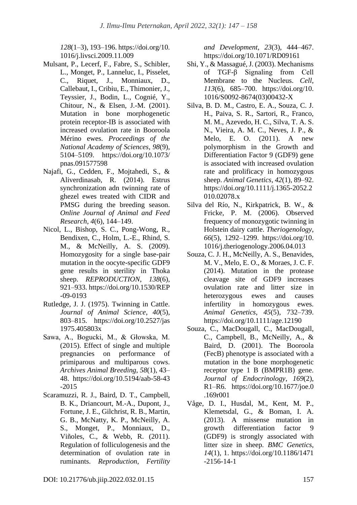*128*(1–3), 193–196. https://doi.org/10. 1016/j.livsci.2009.11.009

- Mulsant, P., Lecerf, F., Fabre, S., Schibler, L., Monget, P., Lanneluc, I., Pisselet, C., Riquet, J., Monniaux, D., Callebaut, I., Cribiu, E., Thimonier, J., Teyssier, J., Bodin, L., Cognié, Y., Chitour, N., & Elsen, J.-M. (2001). Mutation in bone morphogenetic protein receptor-IB is associated with increased ovulation rate in Booroola Mérino ewes. *Proceedings of the National Academy of Sciences*, *98*(9), 5104–5109. https://doi.org/10.1073/ pnas.091577598
- Najafi, G., Cedden, F., Mojtahedi, S., & Aliverdinasab, R. (2014). Estrus synchronization adn twinning rate of ghezel ewes treated with CIDR and PMSG during the breeding season. *Online Journal of Animal and Feed Research*, *4*(6), 144–149.
- Nicol, L., Bishop, S. C., Pong-Wong, R., Bendixen, C., Holm, L.-E., Rhind, S. M., & McNeilly, A. S. (2009). Homozygosity for a single base-pair mutation in the oocyte-specific GDF9 gene results in sterility in Thoka sheep. *REPRODUCTION*, *138*(6), 921–933. https://doi.org/10.1530/REP -09-0193
- Rutledge, J. J. (1975). Twinning in Cattle. *Journal of Animal Science*, *40*(5), 803–815. https://doi.org/10.2527/jas 1975.405803x
- Sawa, A., Bogucki, M., & Głowska, M. (2015). Effect of single and multiple pregnancies on performance of primiparous and multiparous cows. *Archives Animal Breeding*, *58*(1), 43– 48. https://doi.org/10.5194/aab-58-43 -2015
- Scaramuzzi, R. J., Baird, D. T., Campbell, B. K., Driancourt, M.-A., Dupont, J., Fortune, J. E., Gilchrist, R. B., Martin, G. B., McNatty, K. P., McNeilly, A. S., Monget, P., Monniaux, D., Viñoles, C., & Webb, R. (2011). Regulation of folliculogenesis and the determination of ovulation rate in ruminants. *Reproduction, Fertility*

*and Development*, *23*(3), 444–467. https://doi.org/10.1071/RD09161

- Shi, Y., & Massagué, J. (2003). Mechanisms of TGF-β Signaling from Cell Membrane to the Nucleus. *Cell*, *113*(6), 685–700. https://doi.org/10. 1016/S0092-8674(03)00432-X
- Silva, B. D. M., Castro, E. A., Souza, C. J. H., Paiva, S. R., Sartori, R., Franco, M. M., Azevedo, H. C., Silva, T. A. S. N., Vieira, A. M. C., Neves, J. P., & Melo, E. O. (2011). A new polymorphism in the Growth and Differentiation Factor 9 (GDF9) gene is associated with increased ovulation rate and prolificacy in homozygous sheep. *Animal Genetics*, *42*(1), 89–92. https://doi.org/10.1111/j.1365-2052.2 010.02078.x
- Silva del Río, N., Kirkpatrick, B. W., & Fricke, P. M. (2006). Observed frequency of monozygotic twinning in Holstein dairy cattle. *Theriogenology*, *66*(5), 1292–1299. https://doi.org/10. 1016/j.theriogenology.2006.04.013
- Souza, C. J. H., McNeilly, A. S., Benavides, M. V., Melo, E. O., & Moraes, J. C. F. (2014). Mutation in the protease cleavage site of GDF9 increases ovulation rate and litter size in heterozygous ewes and causes infertility in homozygous ewes. *Animal Genetics*, *45*(5), 732–739. https://doi.org/10.1111/age.12190
- Souza, C., MacDougall, C., MacDougall, C., Campbell, B., McNeilly, A., & Baird, D. (2001). The Booroola (FecB) phenotype is associated with a mutation in the bone morphogenetic receptor type 1 B (BMPR1B) gene. *Journal of Endocrinology*, *169*(2), R1–R6. https://doi.org/10.1677/joe.0 .169r001
- Våge, D. I., Husdal, M., Kent, M. P., Klemetsdal, G., & Boman, I. A. (2013). A missense mutation in growth differentiation factor 9 (GDF9) is strongly associated with litter size in sheep. *BMC Genetics*, *14*(1), 1. https://doi.org/10.1186/1471 -2156-14-1